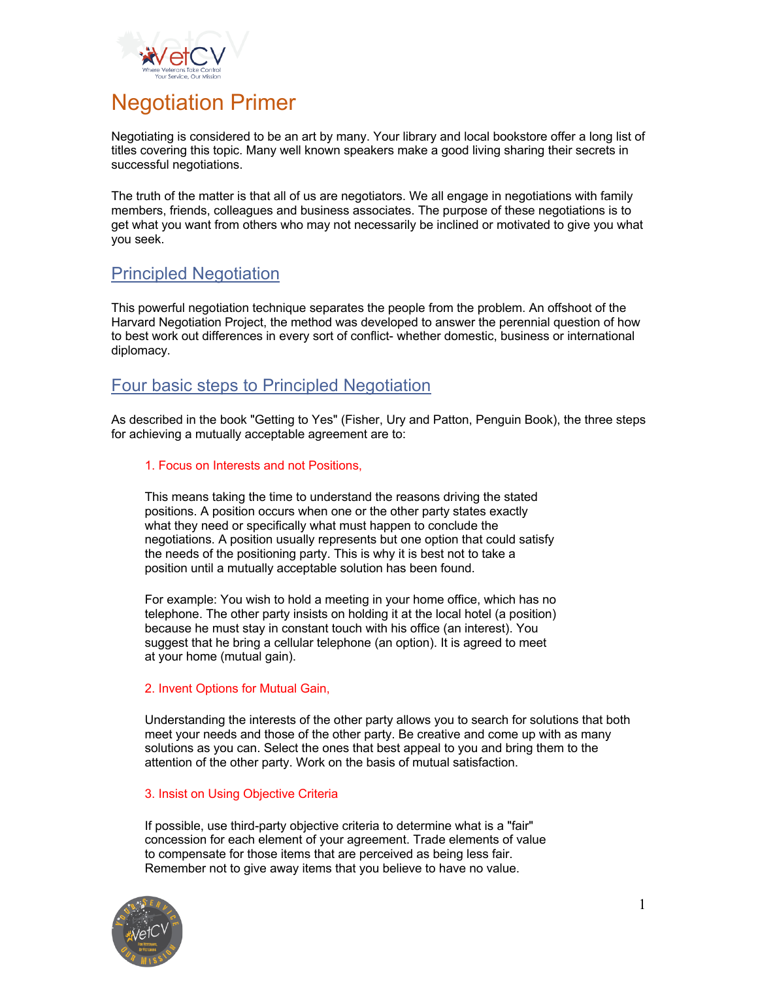

# Negotiation Primer

Negotiating is considered to be an art by many. Your library and local bookstore offer a long list of titles covering this topic. Many well known speakers make a good living sharing their secrets in successful negotiations.

The truth of the matter is that all of us are negotiators. We all engage in negotiations with family members, friends, colleagues and business associates. The purpose of these negotiations is to get what you want from others who may not necessarily be inclined or motivated to give you what you seek.

## Principled Negotiation

This powerful negotiation technique separates the people from the problem. An offshoot of the Harvard Negotiation Project, the method was developed to answer the perennial question of how to best work out differences in every sort of conflict- whether domestic, business or international diplomacy.

## Four basic steps to Principled Negotiation

As described in the book "Getting to Yes" (Fisher, Ury and Patton, Penguin Book), the three steps for achieving a mutually acceptable agreement are to:

#### 1. Focus on Interests and not Positions,

This means taking the time to understand the reasons driving the stated positions. A position occurs when one or the other party states exactly what they need or specifically what must happen to conclude the negotiations. A position usually represents but one option that could satisfy the needs of the positioning party. This is why it is best not to take a position until a mutually acceptable solution has been found.

For example: You wish to hold a meeting in your home office, which has no telephone. The other party insists on holding it at the local hotel (a position) because he must stay in constant touch with his office (an interest). You suggest that he bring a cellular telephone (an option). It is agreed to meet at your home (mutual gain).

### 2. Invent Options for Mutual Gain,

Understanding the interests of the other party allows you to search for solutions that both meet your needs and those of the other party. Be creative and come up with as many solutions as you can. Select the ones that best appeal to you and bring them to the attention of the other party. Work on the basis of mutual satisfaction.

#### 3. Insist on Using Objective Criteria

If possible, use third-party objective criteria to determine what is a "fair" concession for each element of your agreement. Trade elements of value to compensate for those items that are perceived as being less fair. Remember not to give away items that you believe to have no value.

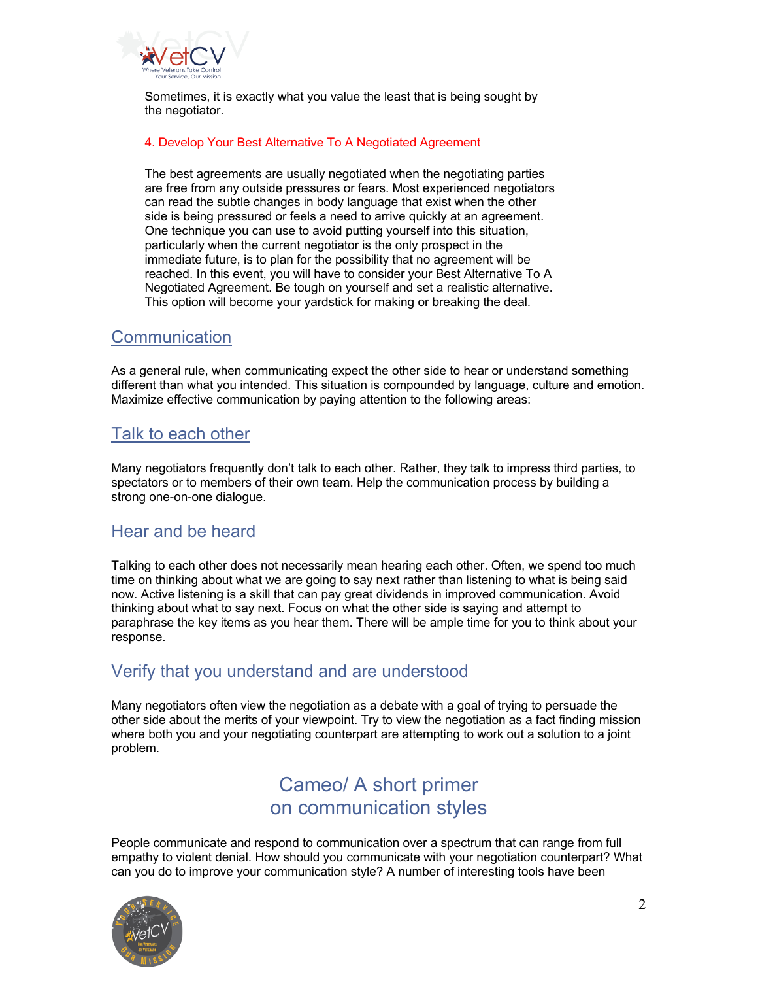

Sometimes, it is exactly what you value the least that is being sought by the negotiator.

#### 4. Develop Your Best Alternative To A Negotiated Agreement

The best agreements are usually negotiated when the negotiating parties are free from any outside pressures or fears. Most experienced negotiators can read the subtle changes in body language that exist when the other side is being pressured or feels a need to arrive quickly at an agreement. One technique you can use to avoid putting yourself into this situation, particularly when the current negotiator is the only prospect in the immediate future, is to plan for the possibility that no agreement will be reached. In this event, you will have to consider your Best Alternative To A Negotiated Agreement. Be tough on yourself and set a realistic alternative. This option will become your yardstick for making or breaking the deal.

## **Communication**

As a general rule, when communicating expect the other side to hear or understand something different than what you intended. This situation is compounded by language, culture and emotion. Maximize effective communication by paying attention to the following areas:

## Talk to each other

Many negotiators frequently don't talk to each other. Rather, they talk to impress third parties, to spectators or to members of their own team. Help the communication process by building a strong one-on-one dialogue.

## Hear and be heard

Talking to each other does not necessarily mean hearing each other. Often, we spend too much time on thinking about what we are going to say next rather than listening to what is being said now. Active listening is a skill that can pay great dividends in improved communication. Avoid thinking about what to say next. Focus on what the other side is saying and attempt to paraphrase the key items as you hear them. There will be ample time for you to think about your response.

## Verify that you understand and are understood

Many negotiators often view the negotiation as a debate with a goal of trying to persuade the other side about the merits of your viewpoint. Try to view the negotiation as a fact finding mission where both you and your negotiating counterpart are attempting to work out a solution to a joint problem.

# Cameo/ A short primer on communication styles

People communicate and respond to communication over a spectrum that can range from full empathy to violent denial. How should you communicate with your negotiation counterpart? What can you do to improve your communication style? A number of interesting tools have been

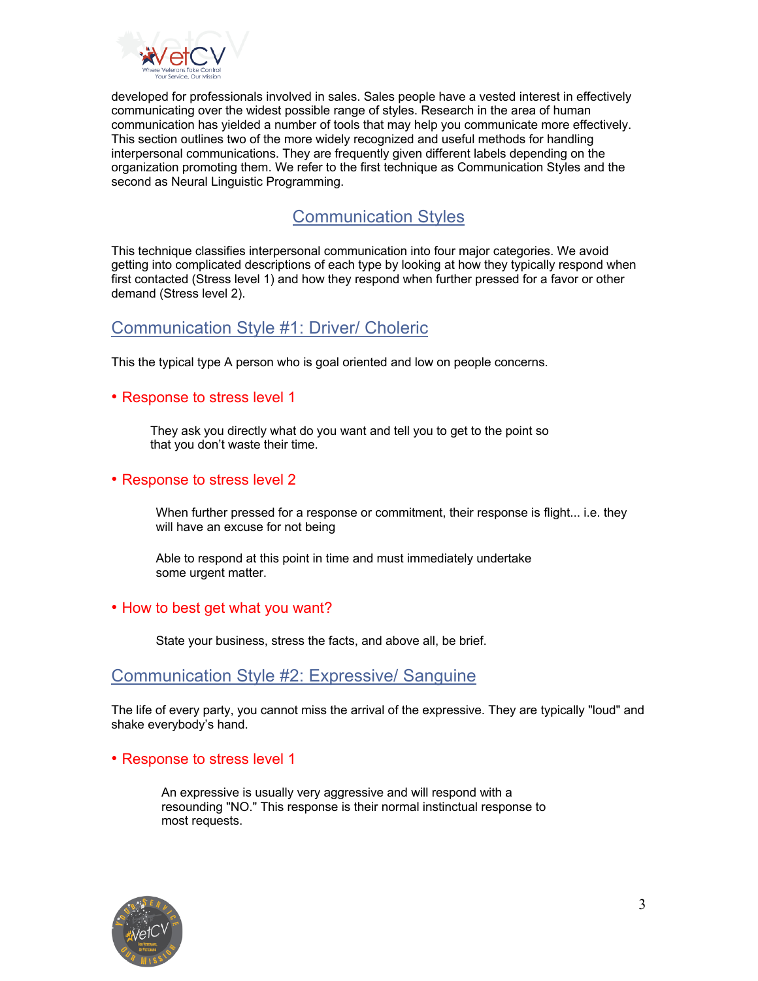

developed for professionals involved in sales. Sales people have a vested interest in effectively communicating over the widest possible range of styles. Research in the area of human communication has yielded a number of tools that may help you communicate more effectively. This section outlines two of the more widely recognized and useful methods for handling interpersonal communications. They are frequently given different labels depending on the organization promoting them. We refer to the first technique as Communication Styles and the second as Neural Linguistic Programming.

# Communication Styles

This technique classifies interpersonal communication into four major categories. We avoid getting into complicated descriptions of each type by looking at how they typically respond when first contacted (Stress level 1) and how they respond when further pressed for a favor or other demand (Stress level 2).

## Communication Style #1: Driver/ Choleric

This the typical type A person who is goal oriented and low on people concerns.

### • Response to stress level 1

They ask you directly what do you want and tell you to get to the point so that you don't waste their time.

### • Response to stress level 2

When further pressed for a response or commitment, their response is flight... i.e. they will have an excuse for not being

Able to respond at this point in time and must immediately undertake some urgent matter.

### • How to best get what you want?

State your business, stress the facts, and above all, be brief.

## Communication Style #2: Expressive/ Sanguine

The life of every party, you cannot miss the arrival of the expressive. They are typically "loud" and shake everybody's hand.

### • Response to stress level 1

An expressive is usually very aggressive and will respond with a resounding "NO." This response is their normal instinctual response to most requests.

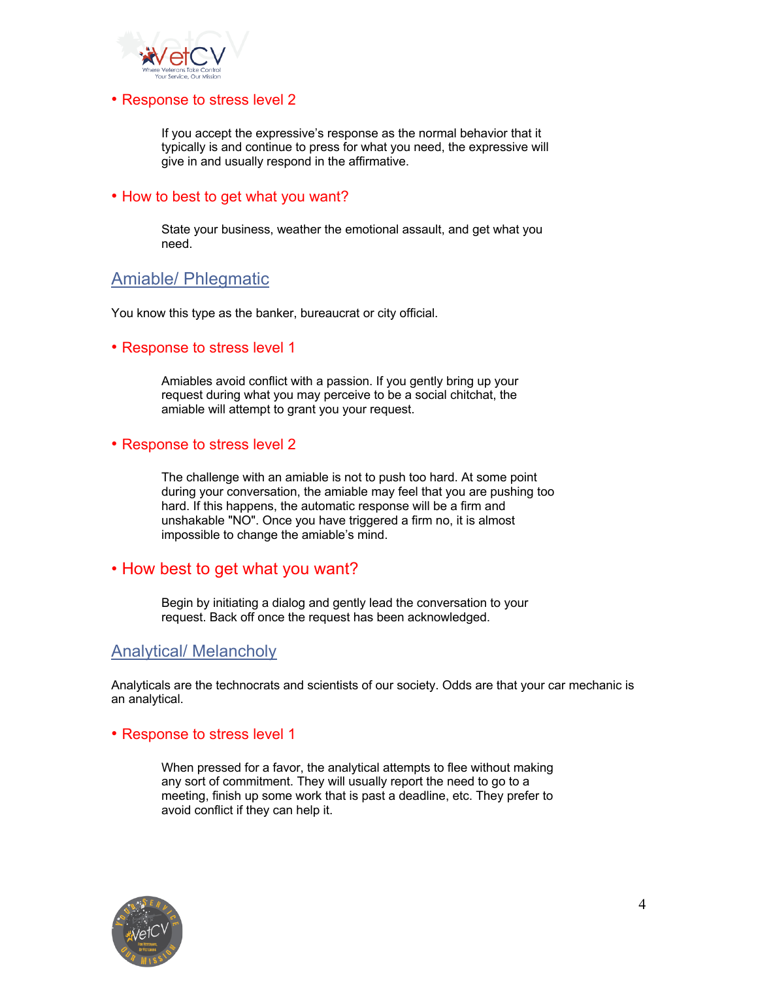

#### • Response to stress level 2

If you accept the expressive's response as the normal behavior that it typically is and continue to press for what you need, the expressive will give in and usually respond in the affirmative.

### • How to best to get what you want?

State your business, weather the emotional assault, and get what you need.

## Amiable/ Phlegmatic

You know this type as the banker, bureaucrat or city official.

#### • Response to stress level 1

Amiables avoid conflict with a passion. If you gently bring up your request during what you may perceive to be a social chitchat, the amiable will attempt to grant you your request.

#### • Response to stress level 2

The challenge with an amiable is not to push too hard. At some point during your conversation, the amiable may feel that you are pushing too hard. If this happens, the automatic response will be a firm and unshakable "NO". Once you have triggered a firm no, it is almost impossible to change the amiable's mind.

### • How best to get what you want?

Begin by initiating a dialog and gently lead the conversation to your request. Back off once the request has been acknowledged.

### Analytical/ Melancholy

Analyticals are the technocrats and scientists of our society. Odds are that your car mechanic is an analytical.

#### • Response to stress level 1

When pressed for a favor, the analytical attempts to flee without making any sort of commitment. They will usually report the need to go to a meeting, finish up some work that is past a deadline, etc. They prefer to avoid conflict if they can help it.

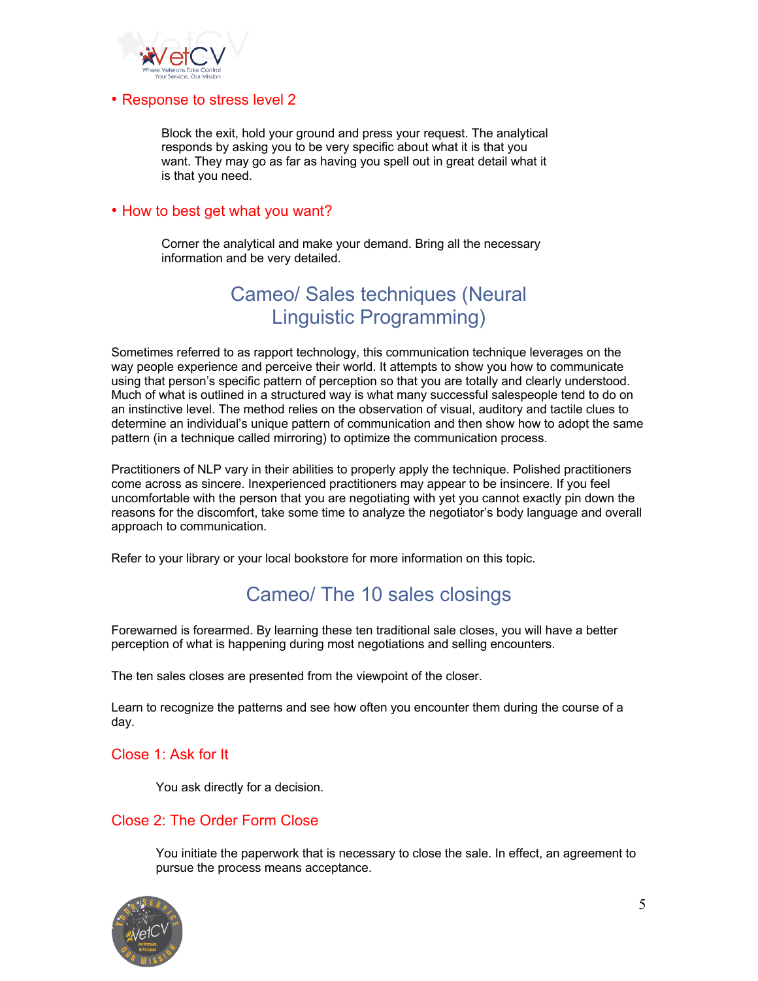

#### • Response to stress level 2

Block the exit, hold your ground and press your request. The analytical responds by asking you to be very specific about what it is that you want. They may go as far as having you spell out in great detail what it is that you need.

#### • How to best get what you want?

Corner the analytical and make your demand. Bring all the necessary information and be very detailed.

# Cameo/ Sales techniques (Neural Linguistic Programming)

Sometimes referred to as rapport technology, this communication technique leverages on the way people experience and perceive their world. It attempts to show you how to communicate using that person's specific pattern of perception so that you are totally and clearly understood. Much of what is outlined in a structured way is what many successful salespeople tend to do on an instinctive level. The method relies on the observation of visual, auditory and tactile clues to determine an individual's unique pattern of communication and then show how to adopt the same pattern (in a technique called mirroring) to optimize the communication process.

Practitioners of NLP vary in their abilities to properly apply the technique. Polished practitioners come across as sincere. Inexperienced practitioners may appear to be insincere. If you feel uncomfortable with the person that you are negotiating with yet you cannot exactly pin down the reasons for the discomfort, take some time to analyze the negotiator's body language and overall approach to communication.

Refer to your library or your local bookstore for more information on this topic.

# Cameo/ The 10 sales closings

Forewarned is forearmed. By learning these ten traditional sale closes, you will have a better perception of what is happening during most negotiations and selling encounters.

The ten sales closes are presented from the viewpoint of the closer.

Learn to recognize the patterns and see how often you encounter them during the course of a day.

### Close 1: Ask for It

You ask directly for a decision.

### Close 2: The Order Form Close

You initiate the paperwork that is necessary to close the sale. In effect, an agreement to pursue the process means acceptance.

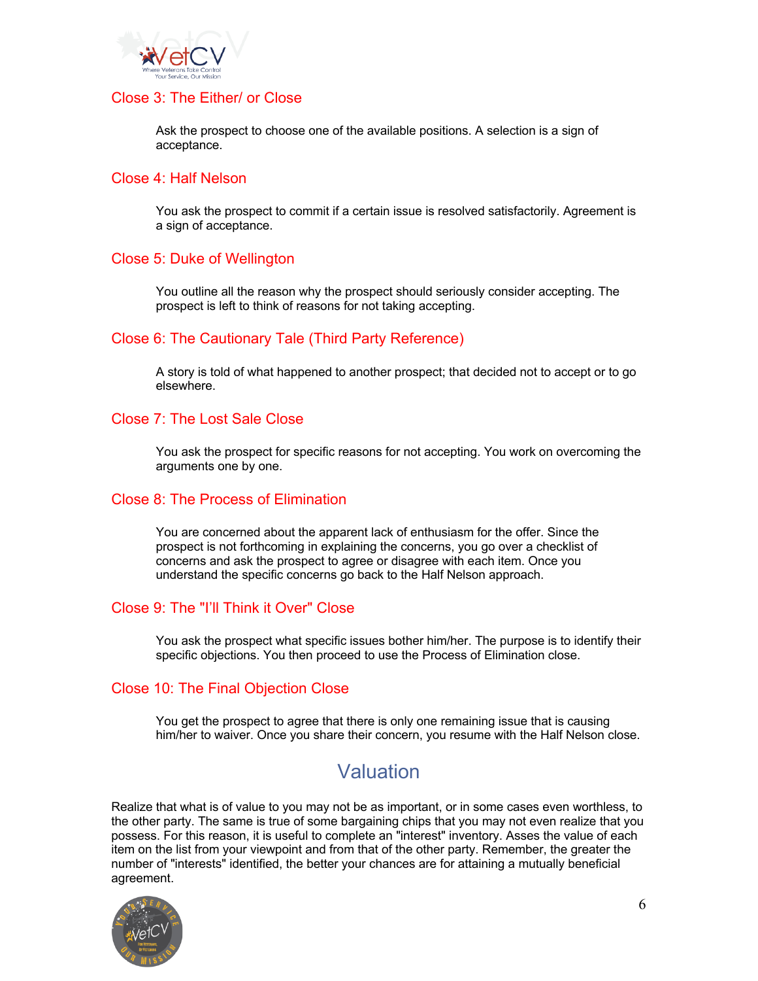

## Close 3: The Either/ or Close

Ask the prospect to choose one of the available positions. A selection is a sign of acceptance.

#### Close 4: Half Nelson

You ask the prospect to commit if a certain issue is resolved satisfactorily. Agreement is a sign of acceptance.

### Close 5: Duke of Wellington

You outline all the reason why the prospect should seriously consider accepting. The prospect is left to think of reasons for not taking accepting.

### Close 6: The Cautionary Tale (Third Party Reference)

A story is told of what happened to another prospect; that decided not to accept or to go elsewhere.

### Close 7: The Lost Sale Close

You ask the prospect for specific reasons for not accepting. You work on overcoming the arguments one by one.

### Close 8: The Process of Elimination

You are concerned about the apparent lack of enthusiasm for the offer. Since the prospect is not forthcoming in explaining the concerns, you go over a checklist of concerns and ask the prospect to agree or disagree with each item. Once you understand the specific concerns go back to the Half Nelson approach.

### Close 9: The "I'll Think it Over" Close

You ask the prospect what specific issues bother him/her. The purpose is to identify their specific objections. You then proceed to use the Process of Elimination close.

### Close 10: The Final Objection Close

You get the prospect to agree that there is only one remaining issue that is causing him/her to waiver. Once you share their concern, you resume with the Half Nelson close.

# Valuation

Realize that what is of value to you may not be as important, or in some cases even worthless, to the other party. The same is true of some bargaining chips that you may not even realize that you possess. For this reason, it is useful to complete an "interest" inventory. Asses the value of each item on the list from your viewpoint and from that of the other party. Remember, the greater the number of "interests" identified, the better your chances are for attaining a mutually beneficial agreement.

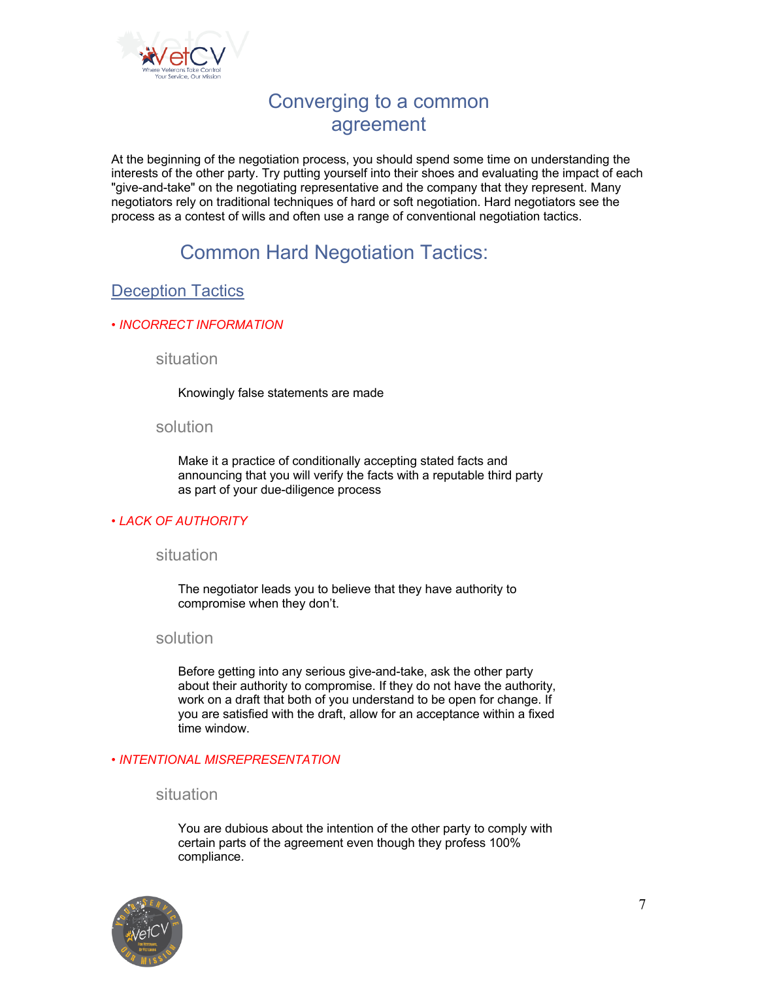

# Converging to a common agreement

At the beginning of the negotiation process, you should spend some time on understanding the interests of the other party. Try putting yourself into their shoes and evaluating the impact of each "give-and-take" on the negotiating representative and the company that they represent. Many negotiators rely on traditional techniques of hard or soft negotiation. Hard negotiators see the process as a contest of wills and often use a range of conventional negotiation tactics.

# Common Hard Negotiation Tactics:

## Deception Tactics

#### *• INCORRECT INFORMATION*

situation

Knowingly false statements are made

#### solution

Make it a practice of conditionally accepting stated facts and announcing that you will verify the facts with a reputable third party as part of your due-diligence process

### *• LACK OF AUTHORITY*

### situation

The negotiator leads you to believe that they have authority to compromise when they don't.

#### solution

Before getting into any serious give-and-take, ask the other party about their authority to compromise. If they do not have the authority, work on a draft that both of you understand to be open for change. If you are satisfied with the draft, allow for an acceptance within a fixed time window.

#### *• INTENTIONAL MISREPRESENTATION*

#### situation

You are dubious about the intention of the other party to comply with certain parts of the agreement even though they profess 100% compliance.

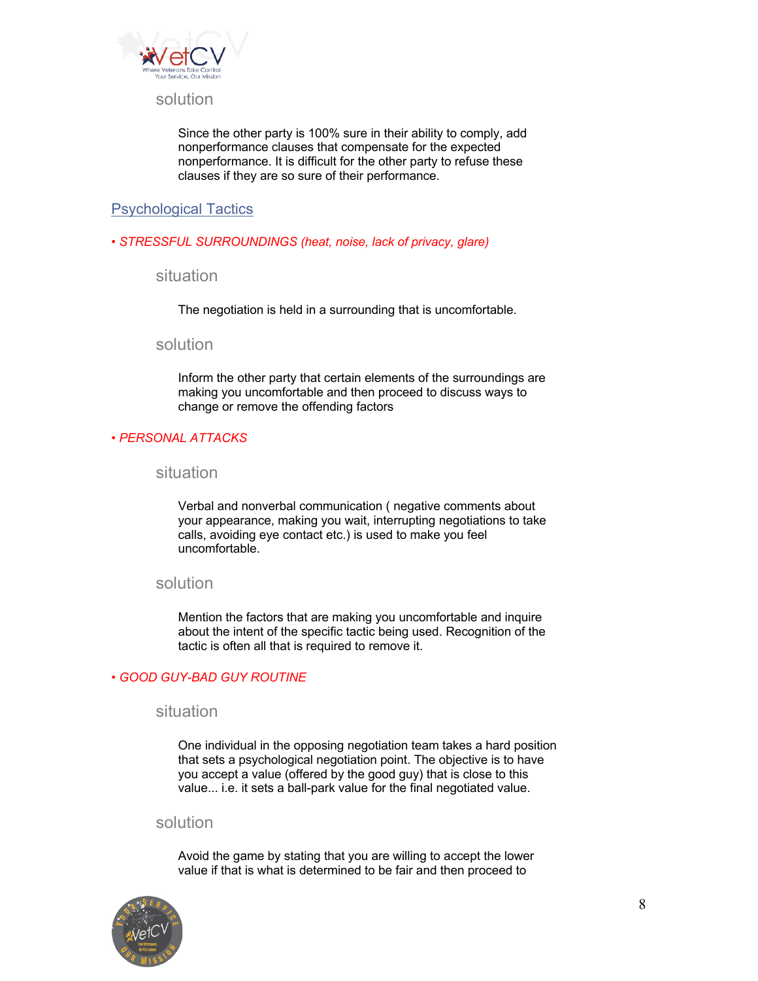

#### solution

Since the other party is 100% sure in their ability to comply, add nonperformance clauses that compensate for the expected nonperformance. It is difficult for the other party to refuse these clauses if they are so sure of their performance.

### Psychological Tactics

*• STRESSFUL SURROUNDINGS (heat, noise, lack of privacy, glare)*

situation

The negotiation is held in a surrounding that is uncomfortable.

#### solution

Inform the other party that certain elements of the surroundings are making you uncomfortable and then proceed to discuss ways to change or remove the offending factors

#### *• PERSONAL ATTACKS*

situation

Verbal and nonverbal communication ( negative comments about your appearance, making you wait, interrupting negotiations to take calls, avoiding eye contact etc.) is used to make you feel uncomfortable.

#### solution

Mention the factors that are making you uncomfortable and inquire about the intent of the specific tactic being used. Recognition of the tactic is often all that is required to remove it.

#### *• GOOD GUY-BAD GUY ROUTINE*

### situation

One individual in the opposing negotiation team takes a hard position that sets a psychological negotiation point. The objective is to have you accept a value (offered by the good guy) that is close to this value... i.e. it sets a ball-park value for the final negotiated value.

#### solution

Avoid the game by stating that you are willing to accept the lower value if that is what is determined to be fair and then proceed to

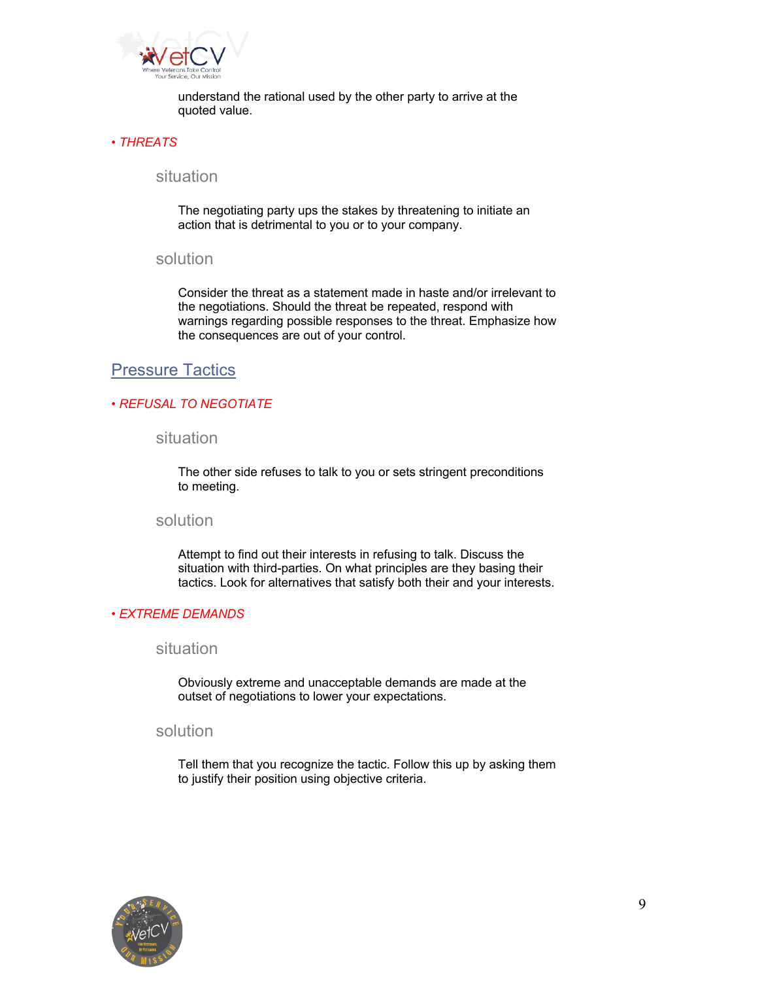

understand the rational used by the other party to arrive at the quoted value.

#### *• THREATS*

#### situation

The negotiating party ups the stakes by threatening to initiate an action that is detrimental to you or to your company.

#### solution

Consider the threat as a statement made in haste and/or irrelevant to the negotiations. Should the threat be repeated, respond with warnings regarding possible responses to the threat. Emphasize how the consequences are out of your control.

## Pressure Tactics

#### *• REFUSAL TO NEGOTIATE*

### situation

The other side refuses to talk to you or sets stringent preconditions to meeting.

#### solution

Attempt to find out their interests in refusing to talk. Discuss the situation with third-parties. On what principles are they basing their tactics. Look for alternatives that satisfy both their and your interests.

#### *• EXTREME DEMANDS*

#### situation

Obviously extreme and unacceptable demands are made at the outset of negotiations to lower your expectations.

### solution

Tell them that you recognize the tactic. Follow this up by asking them to justify their position using objective criteria.

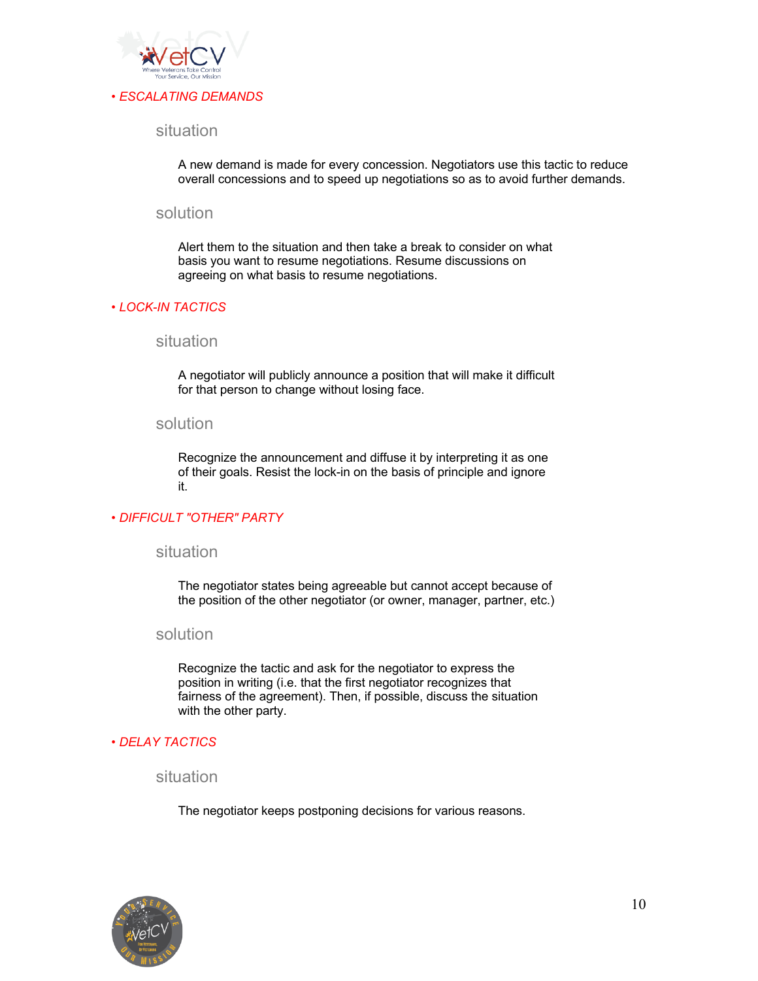

### situation

A new demand is made for every concession. Negotiators use this tactic to reduce overall concessions and to speed up negotiations so as to avoid further demands.

#### solution

Alert them to the situation and then take a break to consider on what basis you want to resume negotiations. Resume discussions on agreeing on what basis to resume negotiations.

#### *• LOCK-IN TACTICS*

#### situation

A negotiator will publicly announce a position that will make it difficult for that person to change without losing face.

#### solution

Recognize the announcement and diffuse it by interpreting it as one of their goals. Resist the lock-in on the basis of principle and ignore it.

#### *• DIFFICULT "OTHER" PARTY*

#### situation

The negotiator states being agreeable but cannot accept because of the position of the other negotiator (or owner, manager, partner, etc.)

#### solution

Recognize the tactic and ask for the negotiator to express the position in writing (i.e. that the first negotiator recognizes that fairness of the agreement). Then, if possible, discuss the situation with the other party.

#### *• DELAY TACTICS*

situation

The negotiator keeps postponing decisions for various reasons.